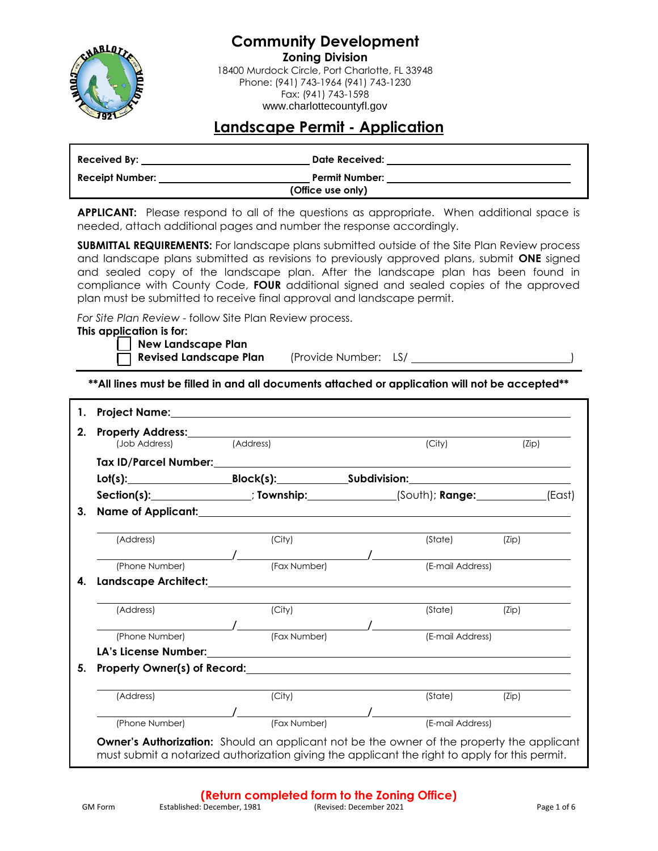

**Community Development Zoning Division** 18400 Murdock Circle, Port Charlotte, FL 33948 Phone: (941) 743-1964 (941) 743-1230 Fax: (941) 743-1598

www.charlottecountyfl.gov

## **Landscape Permit - Application**

| Received By:           | Date Received:        |  |
|------------------------|-----------------------|--|
| <b>Receipt Number:</b> | <b>Permit Number:</b> |  |
|                        | (Office use only)     |  |

APPLICANT: Please respond to all of the questions as appropriate. When additional space is needed, attach additional pages and number the response accordingly.

**SUBMITTAL REQUIREMENTS:** For landscape plans submitted outside of the Site Plan Review process and landscape plans submitted as revisions to previously approved plans, submit **ONE** signed and sealed copy of the landscape plan. After the landscape plan has been found in compliance with County Code, **FOUR** additional signed and sealed copies of the approved plan must be submitted to receive final approval and landscape permit.

*For Site Plan Review* - follow Site Plan Review process.

#### **This application is for:**

**[ ] New Landscape Plan** 

**Revised Landscape Plan** (Provide Number: LS/

**\*\*All lines must be filled in and all documents attached or application will not be accepted\*\*** 

| 1. | Project Name: Name and the state of the state of the state of the state of the state of the state of the state of the state of the state of the state of the state of the state of the state of the state of the state of the  |           |              |                  |       |        |
|----|--------------------------------------------------------------------------------------------------------------------------------------------------------------------------------------------------------------------------------|-----------|--------------|------------------|-------|--------|
| 2. | (Job Address)                                                                                                                                                                                                                  | (Address) |              | (City)           | (Zip) |        |
|    |                                                                                                                                                                                                                                |           |              |                  |       |        |
|    |                                                                                                                                                                                                                                |           |              |                  |       |        |
|    | Section(s): Township: (South); Range:                                                                                                                                                                                          |           |              |                  |       | (East) |
| 3. | Name of Applicant: Name of Applicant Control Control of Applicant Control Control Control Control Control Control Control Control Control Control Control Control Control Control Control Control Control Control Control Cont |           |              |                  |       |        |
|    | (Address)                                                                                                                                                                                                                      |           | (City)       | (State)          | (Zip) |        |
|    | (Phone Number)                                                                                                                                                                                                                 |           | (Fax Number) | (E-mail Address) |       |        |
| 4. |                                                                                                                                                                                                                                |           |              |                  |       |        |
|    | (Address)                                                                                                                                                                                                                      |           | (City)       | (State)          | (Zip) |        |
|    | (Phone Number)                                                                                                                                                                                                                 |           | (Fax Number) | (E-mail Address) |       |        |
|    |                                                                                                                                                                                                                                |           |              |                  |       |        |
| 5. |                                                                                                                                                                                                                                |           |              |                  |       |        |
|    | (Address)                                                                                                                                                                                                                      |           | (City)       | (State)          | (Zip) |        |
|    |                                                                                                                                                                                                                                |           |              |                  |       |        |
|    | (Phone Number)                                                                                                                                                                                                                 |           | (Fax Number) | (E-mail Address) |       |        |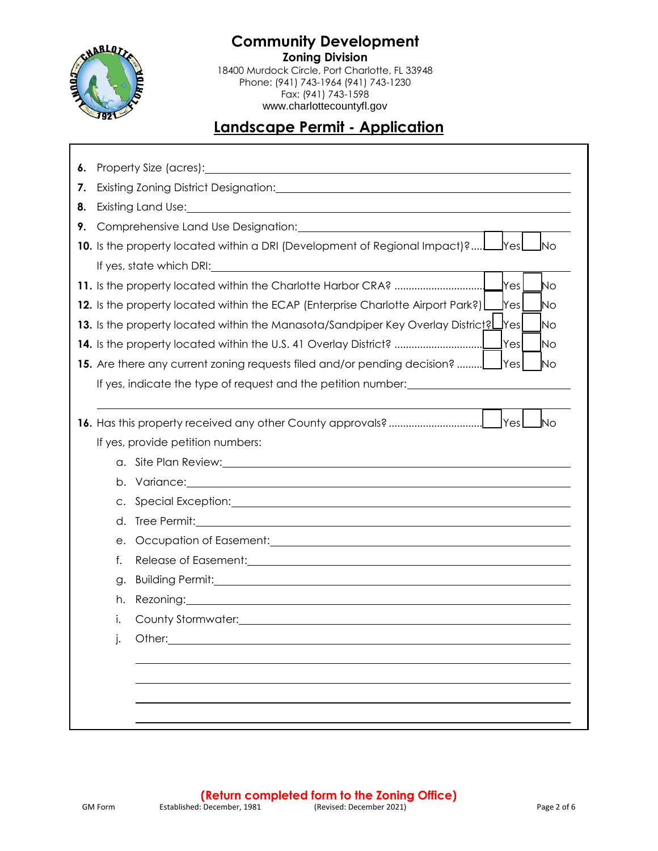

**Community Development Zoning Division** 18400 Murdock Circle, Port Charlotte, FL 33948 Phone: (941) 743-1964 (941) 743-1230 Fax: (941) 743-1598 www.charlottecountyfl.gov

# **Landscape Permit - Application**

| 6. |    | Property Size (acres):<br><u> 1989 - John Amerikaanse kommunister († 1958)</u>                                                                                                                                                 |
|----|----|--------------------------------------------------------------------------------------------------------------------------------------------------------------------------------------------------------------------------------|
| 7. |    |                                                                                                                                                                                                                                |
| 8. |    | Existing Land Use: The Contract of the Contract of the Contract of the Contract of the Contract of the Contract of the Contract of the Contract of the Contract of the Contract of the Contract of the Contract of the Contrac |
| 9. |    | Comprehensive Land Use Designation: Comprehensive Land Use Designation:                                                                                                                                                        |
|    |    | 10. Is the property located within a DRI (Development of Regional Impact)?<br><b>J</b> Yesl<br><u>I</u> No                                                                                                                     |
|    |    |                                                                                                                                                                                                                                |
|    |    | Yes<br>No                                                                                                                                                                                                                      |
|    |    | 12. Is the property located within the ECAP (Enterprise Charlotte Airport Park?)<br> Yes <br>No                                                                                                                                |
|    |    | 13. Is the property located within the Manasota/Sandpiper Key Overlay Districtel Ves<br><b>No</b>                                                                                                                              |
|    |    | lYes<br>14. Is the property located within the U.S. 41 Overlay District?<br> No                                                                                                                                                |
|    |    | 15. Are there any current zoning requests filed and/or pending decision?<br><b>IYes</b><br><b>No</b>                                                                                                                           |
|    |    | If yes, indicate the type of request and the petition number:                                                                                                                                                                  |
|    |    | <b>No</b>                                                                                                                                                                                                                      |
|    |    | If yes, provide petition numbers:                                                                                                                                                                                              |
|    |    |                                                                                                                                                                                                                                |
|    |    |                                                                                                                                                                                                                                |
|    | C. |                                                                                                                                                                                                                                |
|    | d. |                                                                                                                                                                                                                                |
|    | е. |                                                                                                                                                                                                                                |
|    | f. |                                                                                                                                                                                                                                |
|    | g. |                                                                                                                                                                                                                                |
|    | h. | Rezoning: <u>2000 100 million</u> 2000 100 million 2000 100 million 2000 100 million 2000 100 million 2000 100 million                                                                                                         |
|    | i. | County Stormwater: University of the County Stormwater:                                                                                                                                                                        |
|    | j. | Other:                                                                                                                                                                                                                         |
|    |    |                                                                                                                                                                                                                                |
|    |    |                                                                                                                                                                                                                                |
|    |    |                                                                                                                                                                                                                                |
|    |    |                                                                                                                                                                                                                                |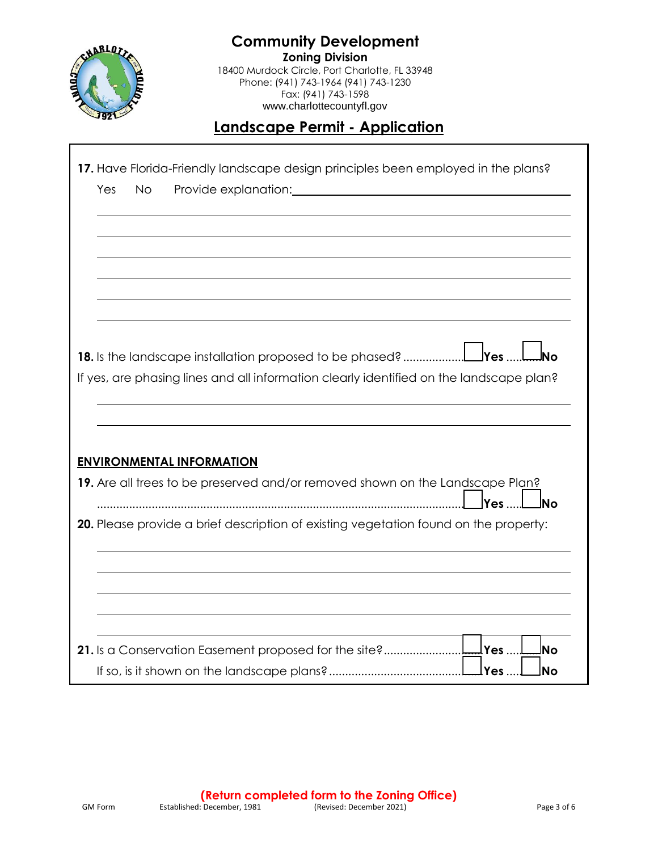

L

**Community Development Zoning Division** 18400 Murdock Circle, Port Charlotte, FL 33948 Phone: (941) 743-1964 (941) 743-1230 Fax: (941) 743-1598 www.charlottecountyfl.gov

# **Landscape Permit - Application**

|     |           |                                                                                                                                                                                                                               |  |  |  | 17. Have Florida-Friendly landscape design principles been employed in the plans? |           |
|-----|-----------|-------------------------------------------------------------------------------------------------------------------------------------------------------------------------------------------------------------------------------|--|--|--|-----------------------------------------------------------------------------------|-----------|
| Yes | <b>No</b> | Provide explanation: Note that the set of the set of the set of the set of the set of the set of the set of the set of the set of the set of the set of the set of the set of the set of the set of the set of the set of the |  |  |  |                                                                                   |           |
|     |           |                                                                                                                                                                                                                               |  |  |  |                                                                                   |           |
|     |           |                                                                                                                                                                                                                               |  |  |  |                                                                                   |           |
|     |           |                                                                                                                                                                                                                               |  |  |  |                                                                                   |           |
|     |           |                                                                                                                                                                                                                               |  |  |  |                                                                                   |           |
|     |           |                                                                                                                                                                                                                               |  |  |  |                                                                                   |           |
|     |           |                                                                                                                                                                                                                               |  |  |  |                                                                                   |           |
|     |           |                                                                                                                                                                                                                               |  |  |  |                                                                                   |           |
|     |           |                                                                                                                                                                                                                               |  |  |  |                                                                                   |           |
|     |           |                                                                                                                                                                                                                               |  |  |  |                                                                                   |           |
|     |           | If yes, are phasing lines and all information clearly identified on the landscape plan?                                                                                                                                       |  |  |  |                                                                                   |           |
|     |           |                                                                                                                                                                                                                               |  |  |  |                                                                                   |           |
|     |           |                                                                                                                                                                                                                               |  |  |  |                                                                                   |           |
|     |           |                                                                                                                                                                                                                               |  |  |  |                                                                                   |           |
|     |           |                                                                                                                                                                                                                               |  |  |  |                                                                                   |           |
|     |           |                                                                                                                                                                                                                               |  |  |  |                                                                                   |           |
|     |           |                                                                                                                                                                                                                               |  |  |  |                                                                                   |           |
|     |           | <b>ENVIRONMENTAL INFORMATION</b>                                                                                                                                                                                              |  |  |  |                                                                                   |           |
|     |           | 19. Are all trees to be preserved and/or removed shown on the Landscape Plan?                                                                                                                                                 |  |  |  |                                                                                   |           |
|     |           |                                                                                                                                                                                                                               |  |  |  | $\mathsf{Yes}$                                                                    | <b>No</b> |
|     |           | 20. Please provide a brief description of existing vegetation found on the property:                                                                                                                                          |  |  |  |                                                                                   |           |
|     |           |                                                                                                                                                                                                                               |  |  |  |                                                                                   |           |
|     |           |                                                                                                                                                                                                                               |  |  |  |                                                                                   |           |
|     |           |                                                                                                                                                                                                                               |  |  |  |                                                                                   |           |
|     |           |                                                                                                                                                                                                                               |  |  |  |                                                                                   |           |
|     |           |                                                                                                                                                                                                                               |  |  |  |                                                                                   |           |
|     |           |                                                                                                                                                                                                                               |  |  |  |                                                                                   |           |
|     |           |                                                                                                                                                                                                                               |  |  |  |                                                                                   | lNo       |
|     |           |                                                                                                                                                                                                                               |  |  |  | lYes                                                                              | lNo       |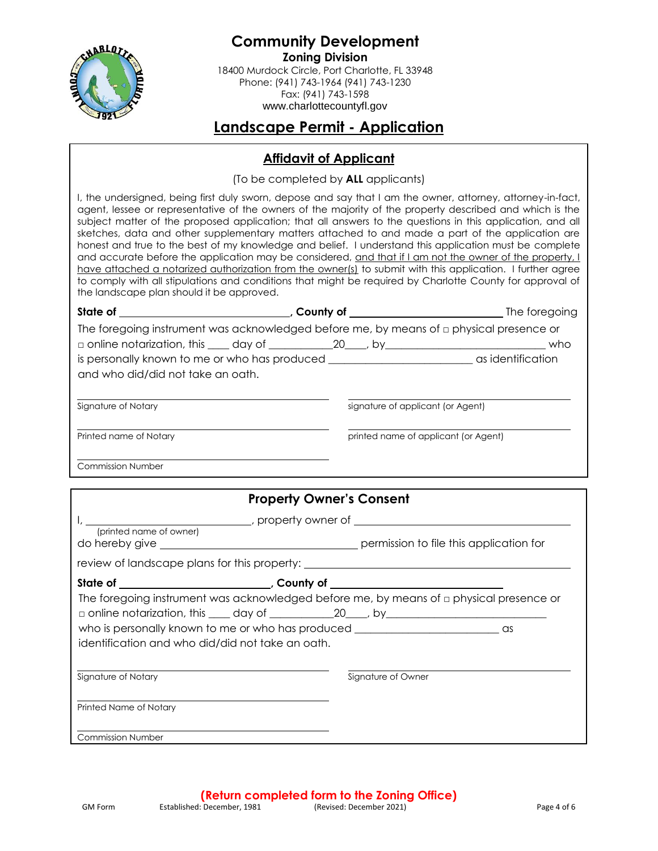

**Community Development Zoning Division** 18400 Murdock Circle, Port Charlotte, FL 33948 Phone: (941) 743-1964 (941) 743-1230 Fax: (941) 743-1598 www.charlottecountyfl.gov

**Landscape Permit - Application** 

## **Affidavit of Applicant**

(To be completed by **ALL** applicants)

I, the undersigned, being first duly sworn, depose and say that I am the owner, attorney, attorney-in-fact, agent, lessee or representative of the owners of the majority of the property described and which is the subject matter of the proposed application; that all answers to the questions in this application, and all sketches, data and other supplementary matters attached to and made a part of the application are honest and true to the best of my knowledge and belief. I understand this application must be complete and accurate before the application may be considered, and that if I am not the owner of the property, I have attached a notarized authorization from the owner(s) to submit with this application. I further agree to comply with all stipulations and conditions that might be required by Charlotte County for approval of the landscape plan should it be approved.

| State of the state of the state of the state of the state of the state of the state of the state of the state of the state of the state of the state of the state of the state of the state of the state of the state of the s | , County of _____________________                                                               | The foregoing                        |
|--------------------------------------------------------------------------------------------------------------------------------------------------------------------------------------------------------------------------------|-------------------------------------------------------------------------------------------------|--------------------------------------|
|                                                                                                                                                                                                                                | The foregoing instrument was acknowledged before me, by means of $\square$ physical presence or |                                      |
|                                                                                                                                                                                                                                | $\Box$ online notarization, this $\_\_\_$ day of $\_\_\_\_$ 20 $\_\_$ , by                      | who                                  |
| and who did/did not take an oath.                                                                                                                                                                                              |                                                                                                 |                                      |
| Signature of Notary                                                                                                                                                                                                            | signature of applicant (or Agent)                                                               |                                      |
| Printed name of Notary                                                                                                                                                                                                         |                                                                                                 | printed name of applicant (or Agent) |
| <b>Commission Number</b>                                                                                                                                                                                                       |                                                                                                 |                                      |

|                                                  | <b>Property Owner's Consent</b>                                                      |                                                                                              |
|--------------------------------------------------|--------------------------------------------------------------------------------------|----------------------------------------------------------------------------------------------|
| (printed name of owner)                          | review of landscape plans for this property: ___________________________________     |                                                                                              |
|                                                  |                                                                                      |                                                                                              |
| identification and who did/did not take an oath. | $\Box$ online notarization, this $\_\_\_$ day of $\_\_\_\_$ 20 , by $\_\_\_\_\_\_\_$ | The foregoing instrument was acknowledged before me, by means of $\Box$ physical presence or |
| Signature of Notary                              |                                                                                      | Signature of Owner                                                                           |
| Printed Name of Notary                           |                                                                                      |                                                                                              |
| <b>Commission Number</b>                         |                                                                                      |                                                                                              |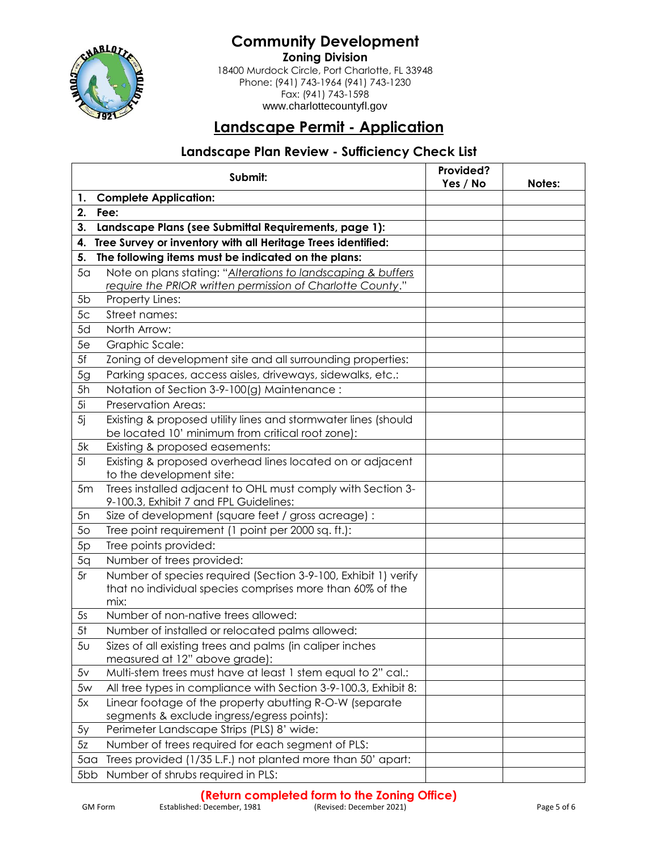

**Community Development Zoning Division** 18400 Murdock Circle, Port Charlotte, FL 33948 Phone: (941) 743-1964 (941) 743-1230 Fax: (941) 743-1598

www.charlottecountyfl.gov

# **Landscape Permit - Application**

#### **Landscape Plan Review - Sufficiency Check List**

|                | Submit:                                                                                                                             | Provided? |        |
|----------------|-------------------------------------------------------------------------------------------------------------------------------------|-----------|--------|
| 1.             | <b>Complete Application:</b>                                                                                                        | Yes / No  | Notes: |
| 2.             | Fee:                                                                                                                                |           |        |
| 3.             | Landscape Plans (see Submittal Requirements, page 1):                                                                               |           |        |
| 4.             | Tree Survey or inventory with all Heritage Trees identified:                                                                        |           |        |
| 5.             | The following items must be indicated on the plans:                                                                                 |           |        |
| 5 <sub>a</sub> | Note on plans stating: "Alterations to landscaping & buffers                                                                        |           |        |
|                | require the PRIOR written permission of Charlotte County."                                                                          |           |        |
| 5 <sub>b</sub> | Property Lines:                                                                                                                     |           |        |
| 5 <sub>c</sub> | Street names:                                                                                                                       |           |        |
| 5d             | North Arrow:                                                                                                                        |           |        |
| 5e             | Graphic Scale:                                                                                                                      |           |        |
| 5f             | Zoning of development site and all surrounding properties:                                                                          |           |        |
| 5g             | Parking spaces, access aisles, driveways, sidewalks, etc.:                                                                          |           |        |
| 5h             | Notation of Section 3-9-100(g) Maintenance:                                                                                         |           |        |
| 5i             | Preservation Areas:                                                                                                                 |           |        |
| 5i             | Existing & proposed utility lines and stormwater lines (should                                                                      |           |        |
|                | be located 10' minimum from critical root zone):                                                                                    |           |        |
| 5k             | Existing & proposed easements:                                                                                                      |           |        |
| 5 <sub>l</sub> | Existing & proposed overhead lines located on or adjacent<br>to the development site:                                               |           |        |
| 5m             | Trees installed adjacent to OHL must comply with Section 3-<br>9-100.3, Exhibit 7 and FPL Guidelines:                               |           |        |
| 5n             | Size of development (square feet / gross acreage) :                                                                                 |           |        |
| 5 <sub>O</sub> | Tree point requirement (1 point per 2000 sq. ft.):                                                                                  |           |        |
| 5p             | Tree points provided:                                                                                                               |           |        |
| 5q             | Number of trees provided:                                                                                                           |           |        |
| 5r             | Number of species required (Section 3-9-100, Exhibit 1) verify<br>that no individual species comprises more than 60% of the<br>mix: |           |        |
| 5s             | Number of non-native trees allowed:                                                                                                 |           |        |
| 5 <sup>†</sup> | Number of installed or relocated palms allowed:                                                                                     |           |        |
| 5 <sub>U</sub> | Sizes of all existing trees and palms (in caliper inches<br>measured at 12" above grade):                                           |           |        |
| 5v             | Multi-stem trees must have at least 1 stem equal to 2" cal.:                                                                        |           |        |
| 5w             | All tree types in compliance with Section 3-9-100.3, Exhibit 8:                                                                     |           |        |
| 5x             | Linear footage of the property abutting R-O-W (separate                                                                             |           |        |
|                | segments & exclude ingress/egress points):                                                                                          |           |        |
| 5y             | Perimeter Landscape Strips (PLS) 8' wide:                                                                                           |           |        |
| 5z             | Number of trees required for each segment of PLS:                                                                                   |           |        |
| 5 <sub>0</sub> | Trees provided (1/35 L.F.) not planted more than 50' apart:                                                                         |           |        |
| 5bb            | Number of shrubs required in PLS:                                                                                                   |           |        |